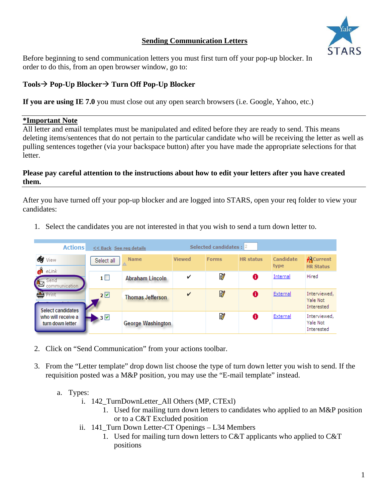# **Sending Communication Letters**



Before beginning to send communication letters you must first turn off your pop-up blocker. In order to do this, from an open browser window, go to:

# Tools→ Pop-Up Blocker→ Turn Off Pop-Up Blocker

**If you are using IE 7.0** you must close out any open search browsers (i.e. Google, Yahoo, etc.)

## **\*Important Note**

All letter and email templates must be manipulated and edited before they are ready to send. This means deleting items/sentences that do not pertain to the particular candidate who will be receiving the letter as well as pulling sentences together (via your backspace button) after you have made the appropriate selections for that letter.

## **Please pay careful attention to the instructions about how to edit your letters after you have created them.**

After you have turned off your pop-up blocker and are logged into STARS, open your req folder to view your candidates:

1. Select the candidates you are not interested in that you wish to send a turn down letter to.

|  | <b>Actions</b>                         | << Back See reg details |                          | Selected candidates : $ 2 $ |              |                  |                   |                                        |
|--|----------------------------------------|-------------------------|--------------------------|-----------------------------|--------------|------------------|-------------------|----------------------------------------|
|  | <b>SE</b> View<br>eÎ<br>eLink          | Select all              | <b>Name</b>              | Viewed                      | <b>Forms</b> | <b>HR</b> status | Candidate<br>type | <b>A</b> Current<br><b>HR Status</b>   |
|  | Send<br>communication                  | $\mathbf{1} \square$    | Abraham Lincoln          | v                           | ď            | 0                | Internal          | Hired                                  |
|  | Print<br>Select candidates             | 2 <sup>o</sup>          | <b>Thomas Jefferson</b>  | v                           | <b>D</b>     |                  | External          | Interviewed,<br>Yale Not<br>Interested |
|  | who will receive a<br>turn down letter | $\rightarrow$ 3 $\vee$  | <b>George Washington</b> |                             | ď            | 8                | External          | Interviewed,<br>Yale Not<br>Interested |

- 2. Click on "Send Communication" from your actions toolbar.
- 3. From the "Letter template" drop down list choose the type of turn down letter you wish to send. If the requisition posted was a M&P position, you may use the "E-mail template" instead.
	- a. Types:
		- i. 142 TurnDownLetter All Others (MP, CTExl)
			- 1. Used for mailing turn down letters to candidates who applied to an M&P position or to a C&T Excluded position
		- ii. 141\_Turn Down Letter-CT Openings L34 Members
			- 1. Used for mailing turn down letters to C&T applicants who applied to C&T positions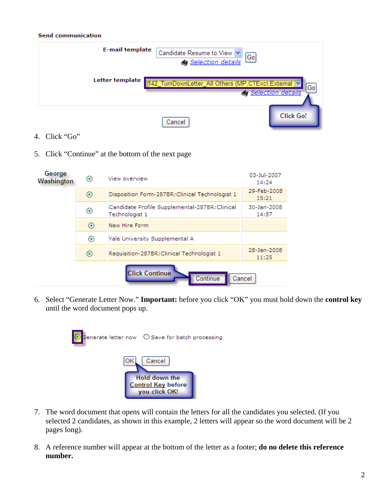#### **Send communication**



- 4. Click "Go"
- 5. Click "Continue" at the bottom of the next page



6. Select "Generate Letter Now." **Important:** before you click "OK" you must hold down the **control key** until the word document pops up.



- 7. The word document that opens will contain the letters for all the candidates you selected. (If you selected 2 candidates, as shown in this example, 2 letters will appear so the word document will be 2 pages long).
- 8. A reference number will appear at the bottom of the letter as a footer; **do no delete this reference number.**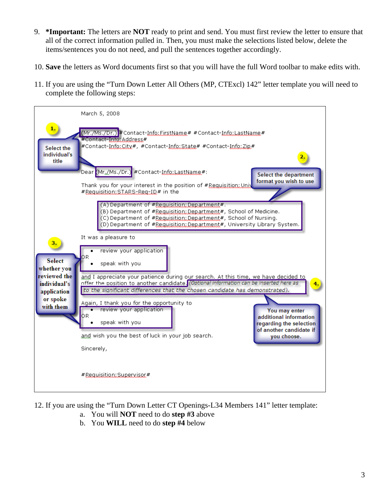- 9. **\*Important:** The letters are **NOT** ready to print and send. You must first review the letter to ensure that all of the correct information pulled in. Then, you must make the selections listed below, delete the items/sentences you do not need, and pull the sentences together accordingly.
- 10. **Save** the letters as Word documents first so that you will have the full Word toolbar to make edits with.
- 11. If you are using the "Turn Down Letter All Others (MP, CTExcl) 142" letter template you will need to complete the following steps:



- 12. If you are using the "Turn Down Letter CT Openings-L34 Members 141" letter template:
	- a. You will **NOT** need to do **step #3** above
	- b. You **WILL** need to do **step #4** below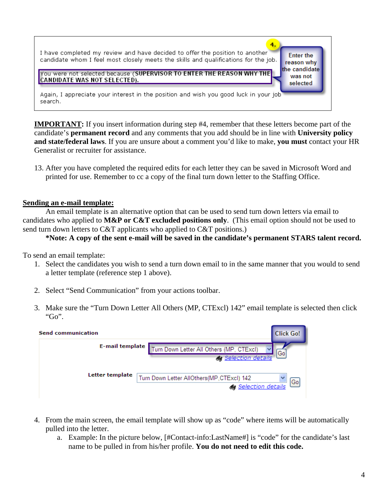

**IMPORTANT:** If you insert information during step #4, remember that these letters become part of the candidate's **permanent record** and any comments that you add should be in line with **University policy and state/federal laws**. If you are unsure about a comment you'd like to make, **you must** contact your HR Generalist or recruiter for assistance.

13. After you have completed the required edits for each letter they can be saved in Microsoft Word and printed for use. Remember to cc a copy of the final turn down letter to the Staffing Office.

### **Sending an e-mail template:**

An email template is an alternative option that can be used to send turn down letters via email to candidates who applied to **M&P or C&T excluded positions only**. (This email option should not be used to send turn down letters to C&T applicants who applied to C&T positions.)

### **\*Note: A copy of the sent e-mail will be saved in the candidate's permanent STARS talent record.**

To send an email template:

- 1. Select the candidates you wish to send a turn down email to in the same manner that you would to send a letter template (reference step 1 above).
- 2. Select "Send Communication" from your actions toolbar.
- 3. Make sure the "Turn Down Letter All Others (MP, CTExcl) 142" email template is selected then click " $Go$ ".

| <b>Send communication</b> |                                                                                  |  |  |  |
|---------------------------|----------------------------------------------------------------------------------|--|--|--|
| E-mail template           | furn Down Letter All Others (MP, CTExcl)<br>Go<br><b>&amp; Selection details</b> |  |  |  |
| Letter template           | Turn Down Letter AllOthers(MP,CTExcl) 142<br>Go<br><b>de Selection details</b>   |  |  |  |

- 4. From the main screen, the email template will show up as "code" where items will be automatically pulled into the letter.
	- a. Example: In the picture below, [#Contact-info:LastName#] is "code" for the candidate's last name to be pulled in from his/her profile. **You do not need to edit this code.**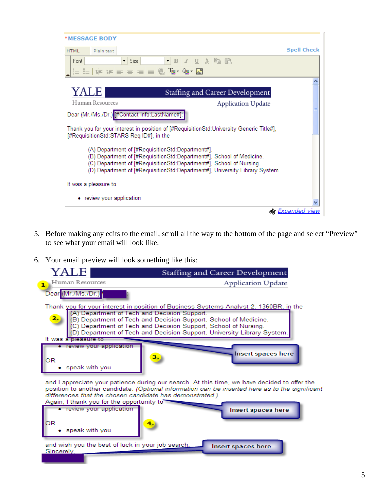| *MESSAGE BODY                                                                                                                                                                                                                                                                  |                         |  |  |  |
|--------------------------------------------------------------------------------------------------------------------------------------------------------------------------------------------------------------------------------------------------------------------------------|-------------------------|--|--|--|
| Plain text<br><b>HTML</b>                                                                                                                                                                                                                                                      | <b>Spell Check</b>      |  |  |  |
| $\blacksquare$ $\blacksquare$ $\blacksquare$ $\blacksquare$ $\blacksquare$ $\blacksquare$ $\blacksquare$<br>Font.<br>Size<br>▾╎                                                                                                                                                |                         |  |  |  |
| 住住まま目目鳴 Tar 御 図                                                                                                                                                                                                                                                                |                         |  |  |  |
|                                                                                                                                                                                                                                                                                |                         |  |  |  |
| YALE<br>Staffing and Career Development                                                                                                                                                                                                                                        |                         |  |  |  |
| Human Resources<br><b>Application Update</b>                                                                                                                                                                                                                                   |                         |  |  |  |
| Dear (Mr./Ms./Dr.) [#Contact-info:LastName#]:                                                                                                                                                                                                                                  |                         |  |  |  |
| Thank you for your interest in position of [#RequisitionStd:University Generic Title#],<br>[#RequisitionStd:STARS Req ID#], in the                                                                                                                                             |                         |  |  |  |
| (A) Department of [#RequisitionStd:Department#].<br>(B) Department of [#RequisitionStd:Department#], School of Medicine.<br>(C) Department of [#RequisitionStd:Department#], School of Nursing.<br>(D) Department of [#RequisitionStd:Department#], University Library System. |                         |  |  |  |
| It was a pleasure to                                                                                                                                                                                                                                                           |                         |  |  |  |
| • review your application                                                                                                                                                                                                                                                      |                         |  |  |  |
|                                                                                                                                                                                                                                                                                | da <u>Expanded view</u> |  |  |  |

- 5. Before making any edits to the email, scroll all the way to the bottom of the page and select "Preview" to see what your email will look like.
- 6. Your email preview will look something like this:

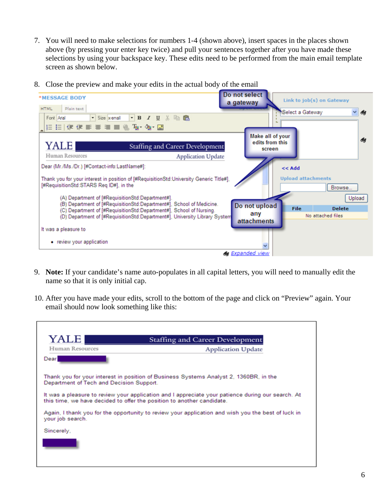7. You will need to make selections for numbers 1-4 (shown above), insert spaces in the places shown above (by pressing your enter key twice) and pull your sentences together after you have made these selections by using your backspace key. These edits need to be performed from the main email template screen as shown below.



8. Close the preview and make your edits in the actual body of the email

- 9. **Note:** If your candidate's name auto-populates in all capital letters, you will need to manually edit the name so that it is only initial cap.
- 10. After you have made your edits, scroll to the bottom of the page and click on "Preview" again. Your email should now look something like this:

| YALE             | <b>Staffing and Career Development</b>                                                                                                                                      |  |  |  |
|------------------|-----------------------------------------------------------------------------------------------------------------------------------------------------------------------------|--|--|--|
| Human Resources  | <b>Application Update</b>                                                                                                                                                   |  |  |  |
| Dear             |                                                                                                                                                                             |  |  |  |
|                  | Thank you for your interest in position of Business Systems Analyst 2, 1360BR, in the<br>Department of Tech and Decision Support.                                           |  |  |  |
|                  | It was a pleasure to review your application and I appreciate your patience during our search. At<br>this time, we have decided to offer the position to another candidate. |  |  |  |
| your job search. | Again, I thank you for the opportunity to review your application and wish you the best of luck in                                                                          |  |  |  |
| Sincerely,       |                                                                                                                                                                             |  |  |  |
|                  |                                                                                                                                                                             |  |  |  |
|                  |                                                                                                                                                                             |  |  |  |